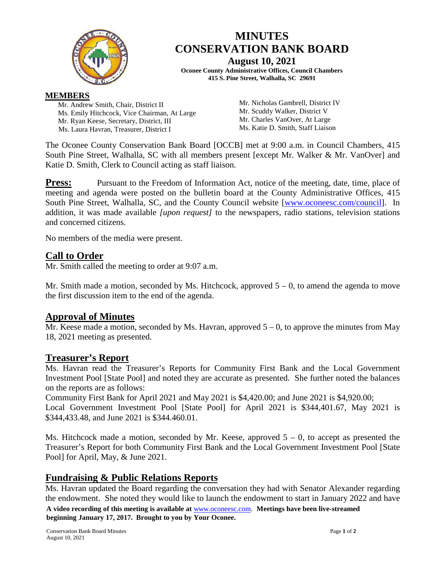

# **MINUTES CONSERVATION BANK BOARD August 10, 2021**

**Oconee County Administrative Offices, Council Chambers 415 S. Pine Street, Walhalla, SC 29691**

#### **MEMBERS**

Mr. Andrew Smith, Chair, District II Ms. Emily Hitchcock, Vice Chairman, At Large Mr. Ryan Keese, Secretary, District, III Ms. Laura Havran, Treasurer, District I

Mr. Nicholas Gambrell, District IV Mr. Scuddy Walker, District V Mr. Charles VanOver, At Large Ms. Katie D. Smith, Staff Liaison

The Oconee County Conservation Bank Board [OCCB] met at 9:00 a.m. in Council Chambers, 415 South Pine Street, Walhalla, SC with all members present [except Mr. Walker & Mr. VanOver] and Katie D. Smith, Clerk to Council acting as staff liaison.

**Press:** Pursuant to the Freedom of Information Act, notice of the meeting, date, time, place of meeting and agenda were posted on the bulletin board at the County Administrative Offices, 415 South Pine Street, Walhalla, SC, and the County Council website [\[www.oconeesc.com/council\]](http://www.oconeesc.com/council). In addition, it was made available *[upon request]* to the newspapers, radio stations, television stations and concerned citizens.

No members of the media were present.

## **Call to Order**

Mr. Smith called the meeting to order at 9:07 a.m.

Mr. Smith made a motion, seconded by Ms. Hitchcock, approved  $5 - 0$ , to amend the agenda to move the first discussion item to the end of the agenda.

### **Approval of Minutes**

Mr. Keese made a motion, seconded by Ms. Havran, approved  $5 - 0$ , to approve the minutes from May 18, 2021 meeting as presented.

### **Treasurer's Report**

Ms. Havran read the Treasurer's Reports for Community First Bank and the Local Government Investment Pool [State Pool] and noted they are accurate as presented. She further noted the balances on the reports are as follows:

Community First Bank for April 2021 and May 2021 is \$4,420.00; and June 2021 is \$4,920.00;

Local Government Investment Pool [State Pool] for April 2021 is \$344,401.67, May 2021 is \$344,433.48, and June 2021 is \$344.460.01.

Ms. Hitchcock made a motion, seconded by Mr. Keese, approved  $5 - 0$ , to accept as presented the Treasurer's Report for both Community First Bank and the Local Government Investment Pool [State Pool] for April, May, & June 2021.

## **Fundraising & Public Relations Reports**

Ms. Havran updated the Board regarding the conversation they had with Senator Alexander regarding the endowment. She noted they would like to launch the endowment to start in January 2022 and have

**A video recording of this meeting is available at** [www.oconeesc.com.](http://www.oconeesc.com/) **Meetings have been live-streamed beginning January 17, 2017. Brought to you by Your Oconee.**